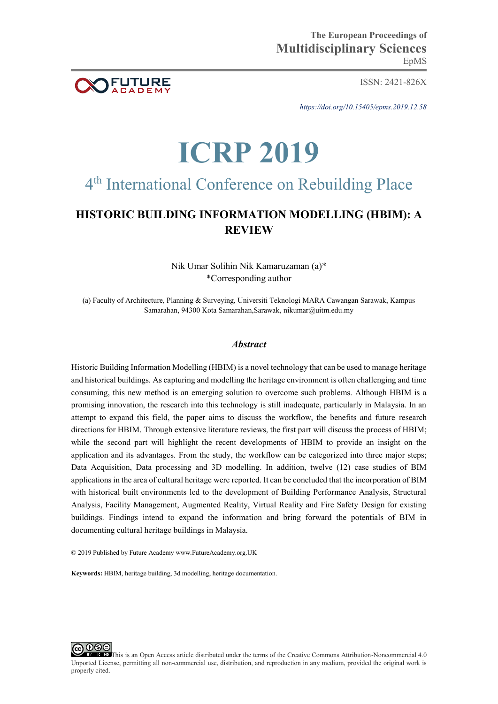ISSN: 2421-826X

*https://doi.org/10.15405/epms.2019.12.58* 

# **ICRP 2019**

## 4<sup>th</sup> International Conference on Rebuilding Place

### **HISTORIC BUILDING INFORMATION MODELLING (HBIM): A REVIEW**

Nik Umar Solihin Nik Kamaruzaman (a)\* \*Corresponding author

(a) Faculty of Architecture, Planning & Surveying, Universiti Teknologi MARA Cawangan Sarawak, Kampus Samarahan, 94300 Kota Samarahan,Sarawak, nikumar@uitm.edu.my

#### *Abstract*

Historic Building Information Modelling (HBIM) is a novel technology that can be used to manage heritage and historical buildings. As capturing and modelling the heritage environment is often challenging and time consuming, this new method is an emerging solution to overcome such problems. Although HBIM is a promising innovation, the research into this technology is still inadequate, particularly in Malaysia. In an attempt to expand this field, the paper aims to discuss the workflow, the benefits and future research directions for HBIM. Through extensive literature reviews, the first part will discuss the process of HBIM; while the second part will highlight the recent developments of HBIM to provide an insight on the application and its advantages. From the study, the workflow can be categorized into three major steps; Data Acquisition, Data processing and 3D modelling. In addition, twelve (12) case studies of BIM applications in the area of cultural heritage were reported. It can be concluded that the incorporation of BIM with historical built environments led to the development of Building Performance Analysis, Structural Analysis, Facility Management, Augmented Reality, Virtual Reality and Fire Safety Design for existing buildings. Findings intend to expand the information and bring forward the potentials of BIM in documenting cultural heritage buildings in Malaysia.

© 2019 Published by Future Academy www.FutureAcademy.org.UK

**Keywords:** HBIM, heritage building, 3d modelling, heritage documentation.

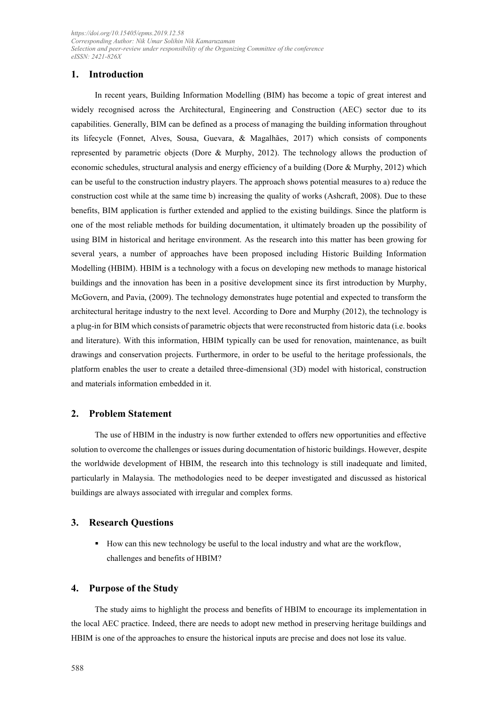#### **1. Introduction**

In recent years, Building Information Modelling (BIM) has become a topic of great interest and widely recognised across the Architectural, Engineering and Construction (AEC) sector due to its capabilities. Generally, BIM can be defined as a process of managing the building information throughout its lifecycle (Fonnet, Alves, Sousa, Guevara, & Magalhães, 2017) which consists of components represented by parametric objects (Dore & Murphy, 2012). The technology allows the production of economic schedules, structural analysis and energy efficiency of a building (Dore & Murphy, 2012) which can be useful to the construction industry players. The approach shows potential measures to a) reduce the construction cost while at the same time b) increasing the quality of works (Ashcraft, 2008). Due to these benefits, BIM application is further extended and applied to the existing buildings. Since the platform is one of the most reliable methods for building documentation, it ultimately broaden up the possibility of using BIM in historical and heritage environment. As the research into this matter has been growing for several years, a number of approaches have been proposed including Historic Building Information Modelling (HBIM). HBIM is a technology with a focus on developing new methods to manage historical buildings and the innovation has been in a positive development since its first introduction by Murphy, McGovern, and Pavia, (2009). The technology demonstrates huge potential and expected to transform the architectural heritage industry to the next level. According to Dore and Murphy (2012), the technology is a plug-in for BIM which consists of parametric objects that were reconstructed from historic data (i.e. books and literature). With this information, HBIM typically can be used for renovation, maintenance, as built drawings and conservation projects. Furthermore, in order to be useful to the heritage professionals, the platform enables the user to create a detailed three-dimensional (3D) model with historical, construction and materials information embedded in it.

#### **2. Problem Statement**

The use of HBIM in the industry is now further extended to offers new opportunities and effective solution to overcome the challenges or issues during documentation of historic buildings. However, despite the worldwide development of HBIM, the research into this technology is still inadequate and limited, particularly in Malaysia. The methodologies need to be deeper investigated and discussed as historical buildings are always associated with irregular and complex forms.

#### **3. Research Questions**

How can this new technology be useful to the local industry and what are the workflow, challenges and benefits of HBIM?

#### **4. Purpose of the Study**

The study aims to highlight the process and benefits of HBIM to encourage its implementation in the local AEC practice. Indeed, there are needs to adopt new method in preserving heritage buildings and HBIM is one of the approaches to ensure the historical inputs are precise and does not lose its value.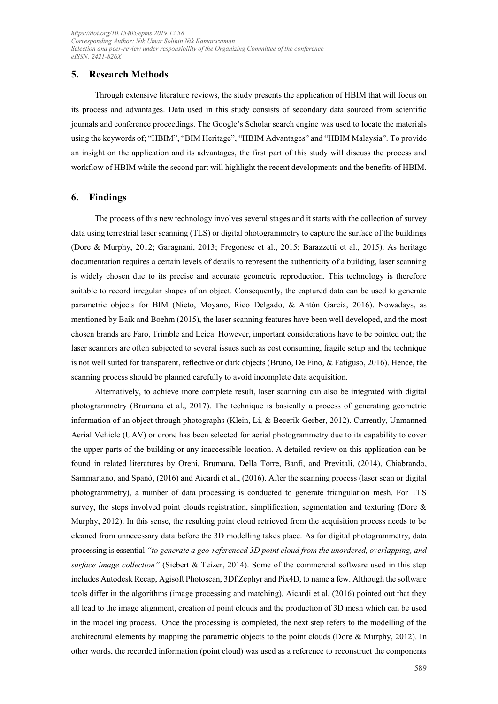#### **5. Research Methods**

Through extensive literature reviews, the study presents the application of HBIM that will focus on its process and advantages. Data used in this study consists of secondary data sourced from scientific journals and conference proceedings. The Google's Scholar search engine was used to locate the materials using the keywords of; "HBIM", "BIM Heritage", "HBIM Advantages" and "HBIM Malaysia". To provide an insight on the application and its advantages, the first part of this study will discuss the process and workflow of HBIM while the second part will highlight the recent developments and the benefits of HBIM.

#### **6. Findings**

The process of this new technology involves several stages and it starts with the collection of survey data using terrestrial laser scanning (TLS) or digital photogrammetry to capture the surface of the buildings (Dore & Murphy, 2012; Garagnani, 2013; Fregonese et al., 2015; Barazzetti et al., 2015). As heritage documentation requires a certain levels of details to represent the authenticity of a building, laser scanning is widely chosen due to its precise and accurate geometric reproduction. This technology is therefore suitable to record irregular shapes of an object. Consequently, the captured data can be used to generate parametric objects for BIM (Nieto, Moyano, Rico Delgado, & Antón García, 2016). Nowadays, as mentioned by Baik and Boehm (2015), the laser scanning features have been well developed, and the most chosen brands are Faro, Trimble and Leica. However, important considerations have to be pointed out; the laser scanners are often subjected to several issues such as cost consuming, fragile setup and the technique is not well suited for transparent, reflective or dark objects (Bruno, De Fino, & Fatiguso, 2016). Hence, the scanning process should be planned carefully to avoid incomplete data acquisition.

Alternatively, to achieve more complete result, laser scanning can also be integrated with digital photogrammetry (Brumana et al., 2017). The technique is basically a process of generating geometric information of an object through photographs (Klein, Li, & Becerik-Gerber, 2012). Currently, Unmanned Aerial Vehicle (UAV) or drone has been selected for aerial photogrammetry due to its capability to cover the upper parts of the building or any inaccessible location. A detailed review on this application can be found in related literatures by Oreni, Brumana, Della Torre, Banfi, and Previtali, (2014), Chiabrando, Sammartano, and Spanò, (2016) and Aicardi et al., (2016). After the scanning process (laser scan or digital photogrammetry), a number of data processing is conducted to generate triangulation mesh. For TLS survey, the steps involved point clouds registration, simplification, segmentation and texturing (Dore & Murphy, 2012). In this sense, the resulting point cloud retrieved from the acquisition process needs to be cleaned from unnecessary data before the 3D modelling takes place. As for digital photogrammetry, data processing is essential *"to generate a geo-referenced 3D point cloud from the unordered, overlapping, and surface image collection"* (Siebert & Teizer, 2014). Some of the commercial software used in this step includes Autodesk Recap, Agisoft Photoscan, 3Df Zephyr and Pix4D, to name a few. Although the software tools differ in the algorithms (image processing and matching), Aicardi et al. (2016) pointed out that they all lead to the image alignment, creation of point clouds and the production of 3D mesh which can be used in the modelling process. Once the processing is completed, the next step refers to the modelling of the architectural elements by mapping the parametric objects to the point clouds (Dore & Murphy, 2012). In other words, the recorded information (point cloud) was used as a reference to reconstruct the components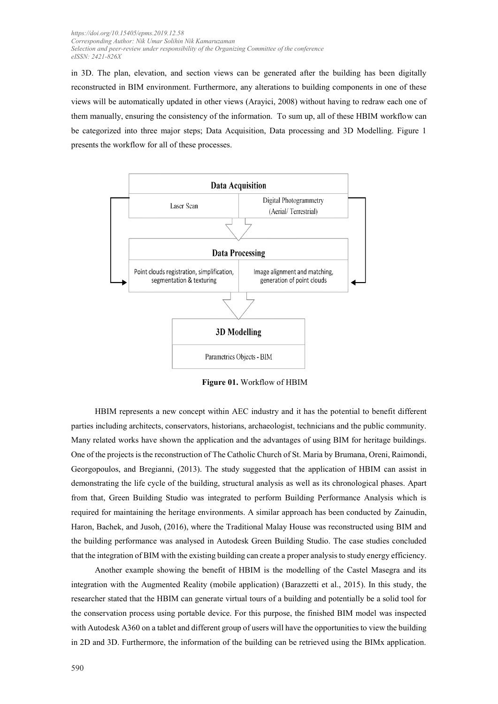in 3D. The plan, elevation, and section views can be generated after the building has been digitally reconstructed in BIM environment. Furthermore, any alterations to building components in one of these views will be automatically updated in other views (Arayici, 2008) without having to redraw each one of them manually, ensuring the consistency of the information. To sum up, all of these HBIM workflow can be categorized into three major steps; Data Acquisition, Data processing and 3D Modelling. Figure 1 presents the workflow for all of these processes.



**Figure 01.** Workflow of HBIM

HBIM represents a new concept within AEC industry and it has the potential to benefit different parties including architects, conservators, historians, archaeologist, technicians and the public community. Many related works have shown the application and the advantages of using BIM for heritage buildings. One of the projects is the reconstruction of The Catholic Church of St. Maria by Brumana, Oreni, Raimondi, Georgopoulos, and Bregianni, (2013). The study suggested that the application of HBIM can assist in demonstrating the life cycle of the building, structural analysis as well as its chronological phases. Apart from that, Green Building Studio was integrated to perform Building Performance Analysis which is required for maintaining the heritage environments. A similar approach has been conducted by Zainudin, Haron, Bachek, and Jusoh, (2016), where the Traditional Malay House was reconstructed using BIM and the building performance was analysed in Autodesk Green Building Studio. The case studies concluded that the integration of BIM with the existing building can create a proper analysis to study energy efficiency.

Another example showing the benefit of HBIM is the modelling of the Castel Masegra and its integration with the Augmented Reality (mobile application) (Barazzetti et al., 2015). In this study, the researcher stated that the HBIM can generate virtual tours of a building and potentially be a solid tool for the conservation process using portable device. For this purpose, the finished BIM model was inspected with Autodesk A360 on a tablet and different group of users will have the opportunities to view the building in 2D and 3D. Furthermore, the information of the building can be retrieved using the BIMx application.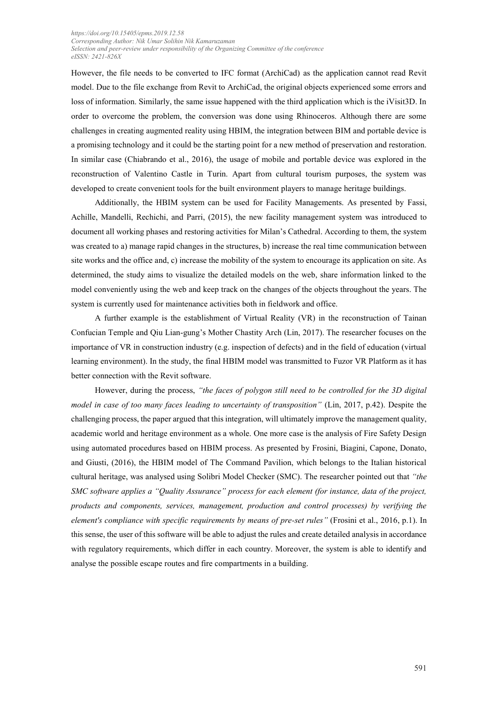However, the file needs to be converted to IFC format (ArchiCad) as the application cannot read Revit model. Due to the file exchange from Revit to ArchiCad, the original objects experienced some errors and loss of information. Similarly, the same issue happened with the third application which is the iVisit3D. In order to overcome the problem, the conversion was done using Rhinoceros. Although there are some challenges in creating augmented reality using HBIM, the integration between BIM and portable device is a promising technology and it could be the starting point for a new method of preservation and restoration. In similar case (Chiabrando et al., 2016), the usage of mobile and portable device was explored in the reconstruction of Valentino Castle in Turin. Apart from cultural tourism purposes, the system was developed to create convenient tools for the built environment players to manage heritage buildings.

Additionally, the HBIM system can be used for Facility Managements. As presented by Fassi, Achille, Mandelli, Rechichi, and Parri, (2015), the new facility management system was introduced to document all working phases and restoring activities for Milan's Cathedral. According to them, the system was created to a) manage rapid changes in the structures, b) increase the real time communication between site works and the office and, c) increase the mobility of the system to encourage its application on site. As determined, the study aims to visualize the detailed models on the web, share information linked to the model conveniently using the web and keep track on the changes of the objects throughout the years. The system is currently used for maintenance activities both in fieldwork and office.

A further example is the establishment of Virtual Reality (VR) in the reconstruction of Tainan Confucian Temple and Qiu Lian-gung's Mother Chastity Arch (Lin, 2017). The researcher focuses on the importance of VR in construction industry (e.g. inspection of defects) and in the field of education (virtual learning environment). In the study, the final HBIM model was transmitted to Fuzor VR Platform as it has better connection with the Revit software.

However, during the process, *"the faces of polygon still need to be controlled for the 3D digital model in case of too many faces leading to uncertainty of transposition"* (Lin, 2017, p.42). Despite the challenging process, the paper argued that this integration, will ultimately improve the management quality, academic world and heritage environment as a whole. One more case is the analysis of Fire Safety Design using automated procedures based on HBIM process. As presented by Frosini, Biagini, Capone, Donato, and Giusti, (2016), the HBIM model of The Command Pavilion, which belongs to the Italian historical cultural heritage, was analysed using Solibri Model Checker (SMC). The researcher pointed out that *"the SMC software applies a "Quality Assurance" process for each element (for instance, data of the project, products and components, services, management, production and control processes) by verifying the element's compliance with specific requirements by means of pre-set rules"* (Frosini et al., 2016, p.1). In this sense, the user of this software will be able to adjust the rules and create detailed analysis in accordance with regulatory requirements, which differ in each country. Moreover, the system is able to identify and analyse the possible escape routes and fire compartments in a building.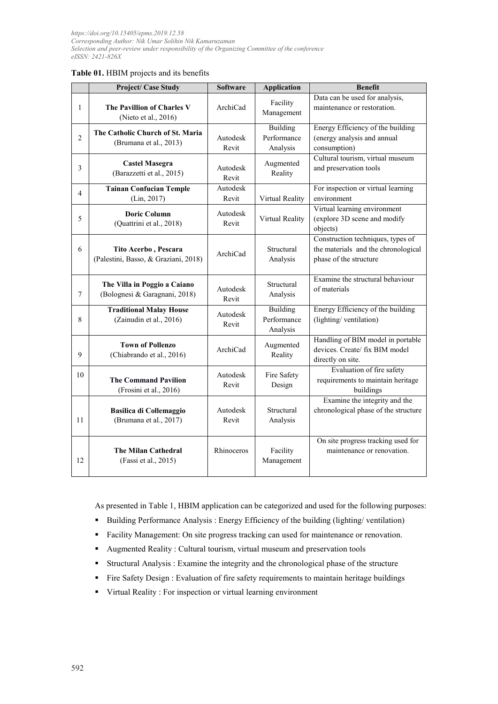#### **Table 01.** HBIM projects and its benefits

|                | <b>Project/ Case Study</b>                                    | <b>Software</b>   | <b>Application</b>                  | <b>Benefit</b>                                                                                     |
|----------------|---------------------------------------------------------------|-------------------|-------------------------------------|----------------------------------------------------------------------------------------------------|
| 1              | The Pavillion of Charles V<br>(Nieto et al., 2016)            | ArchiCad          | Facility<br>Management              | Data can be used for analysis,<br>maintenance or restoration.                                      |
| $\overline{c}$ | The Catholic Church of St. Maria<br>(Brumana et al., 2013)    | Autodesk<br>Revit | Building<br>Performance<br>Analysis | Energy Efficiency of the building<br>(energy analysis and annual<br>consumption)                   |
| 3              | <b>Castel Masegra</b><br>(Barazzetti et al., 2015)            | Autodesk<br>Revit | Augmented<br>Reality                | Cultural tourism, virtual museum<br>and preservation tools                                         |
| $\overline{4}$ | <b>Tainan Confucian Temple</b><br>(Lin, 2017)                 | Autodesk<br>Revit | Virtual Reality                     | For inspection or virtual learning<br>environment                                                  |
| 5              | <b>Doric Column</b><br>(Quattrini et al., 2018)               | Autodesk<br>Revit | Virtual Reality                     | Virtual learning environment<br>(explore 3D scene and modify<br>objects)                           |
| 6              | Tito Acerbo, Pescara<br>(Palestini, Basso, & Graziani, 2018)  | ArchiCad          | Structural<br>Analysis              | Construction techniques, types of<br>the materials and the chronological<br>phase of the structure |
| 7              | The Villa in Poggio a Caiano<br>(Bolognesi & Garagnani, 2018) | Autodesk<br>Revit | Structural<br>Analysis              | Examine the structural behaviour<br>of materials                                                   |
| 8              | <b>Traditional Malay House</b><br>(Zainudin et al., 2016)     | Autodesk<br>Revit | Building<br>Performance<br>Analysis | Energy Efficiency of the building<br>(lighting/ventilation)                                        |
| 9              | <b>Town of Pollenzo</b><br>(Chiabrando et al., 2016)          | ArchiCad          | Augmented<br>Reality                | Handling of BIM model in portable<br>devices. Create/ fix BIM model<br>directly on site.           |
| 10             | <b>The Command Pavilion</b><br>(Frosini et al., 2016)         | Autodesk<br>Revit | Fire Safety<br>Design               | Evaluation of fire safety<br>requirements to maintain heritage<br>buildings                        |
| 11             | <b>Basilica di Collemaggio</b><br>(Brumana et al., 2017)      | Autodesk<br>Revit | Structural<br>Analysis              | Examine the integrity and the<br>chronological phase of the structure                              |
| 12             | <b>The Milan Cathedral</b><br>(Fassi et al., 2015)            | Rhinoceros        | Facility<br>Management              | On site progress tracking used for<br>maintenance or renovation.                                   |

As presented in Table 1, HBIM application can be categorized and used for the following purposes:

- Building Performance Analysis : Energy Efficiency of the building (lighting/ ventilation)
- Facility Management: On site progress tracking can used for maintenance or renovation.
- Augmented Reality : Cultural tourism, virtual museum and preservation tools
- Structural Analysis : Examine the integrity and the chronological phase of the structure
- Fire Safety Design : Evaluation of fire safety requirements to maintain heritage buildings
- Virtual Reality : For inspection or virtual learning environment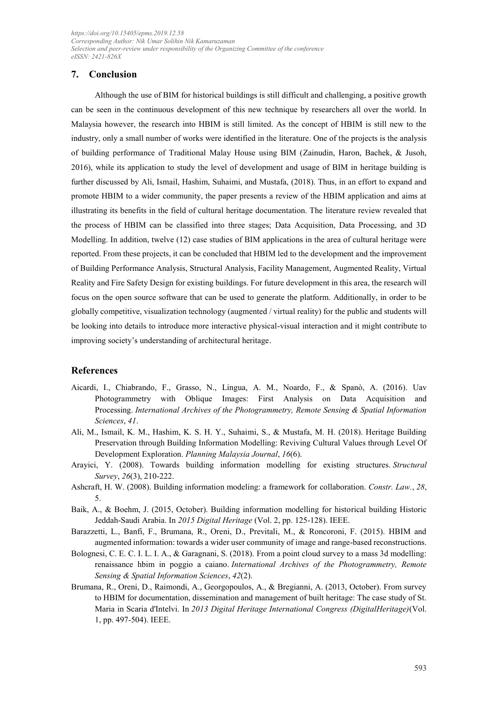#### **7. Conclusion**

Although the use of BIM for historical buildings is still difficult and challenging, a positive growth can be seen in the continuous development of this new technique by researchers all over the world. In Malaysia however, the research into HBIM is still limited. As the concept of HBIM is still new to the industry, only a small number of works were identified in the literature. One of the projects is the analysis of building performance of Traditional Malay House using BIM (Zainudin, Haron, Bachek, & Jusoh, 2016), while its application to study the level of development and usage of BIM in heritage building is further discussed by Ali, Ismail, Hashim, Suhaimi, and Mustafa, (2018). Thus, in an effort to expand and promote HBIM to a wider community, the paper presents a review of the HBIM application and aims at illustrating its benefits in the field of cultural heritage documentation. The literature review revealed that the process of HBIM can be classified into three stages; Data Acquisition, Data Processing, and 3D Modelling. In addition, twelve (12) case studies of BIM applications in the area of cultural heritage were reported. From these projects, it can be concluded that HBIM led to the development and the improvement of Building Performance Analysis, Structural Analysis, Facility Management, Augmented Reality, Virtual Reality and Fire Safety Design for existing buildings. For future development in this area, the research will focus on the open source software that can be used to generate the platform. Additionally, in order to be globally competitive, visualization technology (augmented / virtual reality) for the public and students will be looking into details to introduce more interactive physical-visual interaction and it might contribute to improving society's understanding of architectural heritage.

#### **References**

- Aicardi, I., Chiabrando, F., Grasso, N., Lingua, A. M., Noardo, F., & Spanò, A. (2016). Uav Photogrammetry with Oblique Images: First Analysis on Data Acquisition and Processing. *International Archives of the Photogrammetry, Remote Sensing & Spatial Information Sciences*, *41*.
- Ali, M., Ismail, K. M., Hashim, K. S. H. Y., Suhaimi, S., & Mustafa, M. H. (2018). Heritage Building Preservation through Building Information Modelling: Reviving Cultural Values through Level Of Development Exploration. *Planning Malaysia Journal*, *16*(6).
- Arayici, Y. (2008). Towards building information modelling for existing structures. *Structural Survey*, *26*(3), 210-222.
- Ashcraft, H. W. (2008). Building information modeling: a framework for collaboration. *Constr. Law.*, *28*, 5.
- Baik, A., & Boehm, J. (2015, October). Building information modelling for historical building Historic Jeddah-Saudi Arabia. In *2015 Digital Heritage* (Vol. 2, pp. 125-128). IEEE.
- Barazzetti, L., Banfi, F., Brumana, R., Oreni, D., Previtali, M., & Roncoroni, F. (2015). HBIM and augmented information: towards a wider user community of image and range-based reconstructions.
- Bolognesi, C. E. C. I. L. I. A., & Garagnani, S. (2018). From a point cloud survey to a mass 3d modelling: renaissance hbim in poggio a caiano. *International Archives of the Photogrammetry, Remote Sensing & Spatial Information Sciences*, *42*(2).
- Brumana, R., Oreni, D., Raimondi, A., Georgopoulos, A., & Bregianni, A. (2013, October). From survey to HBIM for documentation, dissemination and management of built heritage: The case study of St. Maria in Scaria d'Intelvi. In *2013 Digital Heritage International Congress (DigitalHeritage)*(Vol. 1, pp. 497-504). IEEE.